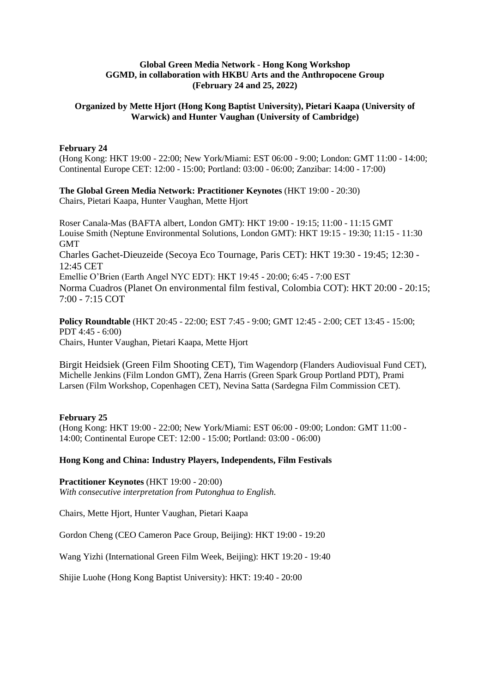### **Global Green Media Network - Hong Kong Workshop GGMD, in collaboration with HKBU Arts and the Anthropocene Group (February 24 and 25, 2022)**

### **Organized by Mette Hjort (Hong Kong Baptist University), Pietari Kaapa (University of Warwick) and Hunter Vaughan (University of Cambridge)**

#### **February 24**

(Hong Kong: HKT 19:00 - 22:00; New York/Miami: EST 06:00 - 9:00; London: GMT 11:00 - 14:00; Continental Europe CET: 12:00 - 15:00; Portland: 03:00 - 06:00; Zanzibar: 14:00 - 17:00)

## **The Global Green Media Network: Practitioner Keynotes** (HKT 19:00 - 20:30)

Chairs, Pietari Kaapa, Hunter Vaughan, Mette Hjort

Roser Canala-Mas (BAFTA albert, London GMT): HKT 19:00 - 19:15; 11:00 - 11:15 GMT Louise Smith (Neptune Environmental Solutions, London GMT): HKT 19:15 - 19:30; 11:15 - 11:30 GMT Charles Gachet-Dieuzeide (Secoya Eco Tournage, Paris CET): HKT 19:30 - 19:45; 12:30 - 12:45 CET Emellie O'Brien (Earth Angel NYC EDT): HKT 19:45 - 20:00; 6:45 - 7:00 EST Norma Cuadros (Planet On environmental film festival, Colombia COT): HKT 20:00 - 20:15; 7:00 - 7:15 COT

**Policy Roundtable** (HKT 20:45 - 22:00; EST 7:45 - 9:00; GMT 12:45 - 2:00; CET 13:45 - 15:00; PDT 4:45 - 6:00) Chairs, Hunter Vaughan, Pietari Kaapa, Mette Hjort

Birgit Heidsiek (Green Film Shooting CET), Tim Wagendorp [\(Flanders Audiovisual Fund](http://www.vaf.be/) CET), Michelle Jenkins (Film London GMT), Zena Harris (Green Spark Group Portland PDT), Prami Larsen (Film Workshop, Copenhagen CET), Nevina Satta (Sardegna Film Commission CET).

### **February 25**

(Hong Kong: HKT 19:00 - 22:00; New York/Miami: EST 06:00 - 09:00; London: GMT 11:00 - 14:00; Continental Europe CET: 12:00 - 15:00; Portland: 03:00 - 06:00)

### **Hong Kong and China: Industry Players, Independents, Film Festivals**

**Practitioner Keynotes** (HKT 19:00 - 20:00) *With consecutive interpretation from Putonghua to English.* 

Chairs, Mette Hjort, Hunter Vaughan, Pietari Kaapa

Gordon Cheng (CEO Cameron Pace Group, Beijing): HKT 19:00 - 19:20

Wang Yizhi (International Green Film Week, Beijing): HKT 19:20 - 19:40

Shijie Luohe (Hong Kong Baptist University): HKT: 19:40 - 20:00